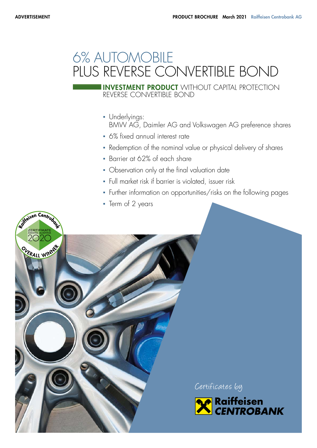# 6% AUTOMOBILE PLUS REVERSE CONVERTIBLE BOND

REVERSE CONVERTIBLE BOND INVESTMENT PRODUCT WITHOUT CAPITAL PROTECTION

- Underlyings: BMW AG, Daimler AG and Volkswagen AG preference shares
- 6% fixed annual interest rate
- Redemption of the nominal value or physical delivery of shares
- Barrier at 62% of each share
- Observation only at the final valuation date
- Full market risk if barrier is violated, issuer risk
- Further information on opportunities/risks on the following pages
- Term of 2 years



Certificates by

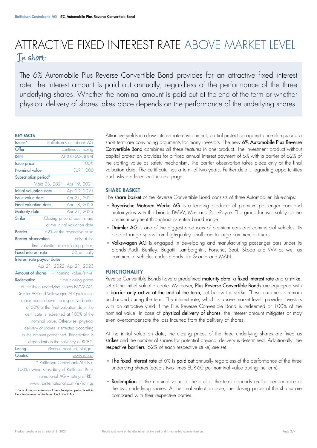## ATTRACTIVE FIXED INTEREST RATE ABOVE MARKET LEVEL In short:

The 6% Automobile Plus Reverse Convertible Bond provides for an attractive fixed interest rate: the interest amount is paid out annually, regardless of the performance of the three underlying shares. Whether the nominal amount is paid out at the end of the term or whether physical delivery of shares takes place depends on the performance of the underlying shares.

#### KEY FACTS

| Issuer*                          | Raiffeisen Centrobank AG                                                |  |  |  |
|----------------------------------|-------------------------------------------------------------------------|--|--|--|
| $\overline{\text{Offer}}$        | continuous issuing                                                      |  |  |  |
| <b>ISIN</b>                      | AT0000A2QDU4                                                            |  |  |  |
| <b>Issue</b> price               | 100%                                                                    |  |  |  |
| Nominal value                    | <b>EUR 1,000</b>                                                        |  |  |  |
| Subscription period <sup>1</sup> |                                                                         |  |  |  |
|                                  | März 23, 2021 - Apr 19, 2021                                            |  |  |  |
| <b>Initial valuation date</b>    | Apr 20, 2021                                                            |  |  |  |
| Issue value date                 | Apr 21, 2021                                                            |  |  |  |
| <b>Final valuation date</b>      | Apr 18, 2023                                                            |  |  |  |
| Maturity date                    | Apr 21, 2023                                                            |  |  |  |
| <b>Strike</b>                    | Closing price of each share                                             |  |  |  |
|                                  | at the initial valuation date                                           |  |  |  |
| Barrier                          | 62% of the respective strike                                            |  |  |  |
| <b>Barrier observation</b>       | only at the                                                             |  |  |  |
|                                  | final valuation date (closing prices)                                   |  |  |  |
| <b>Fixed interest rate</b>       | 6% annually                                                             |  |  |  |
| Interest rate payout dates       |                                                                         |  |  |  |
| Apr 21, 2022; Apr 21, 2023       |                                                                         |  |  |  |
|                                  |                                                                         |  |  |  |
|                                  | Amount of shares = (nominal value/strike)                               |  |  |  |
| Redemption                       | If the closing prices                                                   |  |  |  |
|                                  | of the three underlying shares BMW AG,                                  |  |  |  |
|                                  | Daimler AG and Volkswagen AG preference                                 |  |  |  |
|                                  | shares quote above the respective barrier                               |  |  |  |
|                                  | of 62% at the final valuation date, the                                 |  |  |  |
|                                  | certificate is redeemed at 100% of the                                  |  |  |  |
|                                  | nominal value. Otherwise, physical                                      |  |  |  |
|                                  | delivery of shares is effected according                                |  |  |  |
|                                  | to the amount predefined. Redemption is                                 |  |  |  |
|                                  | dependent on the solvency of RCB*.                                      |  |  |  |
| Listing                          | Vienna, Frankfurt, Stuttgart                                            |  |  |  |
| Quotes                           | www.rcb.at                                                              |  |  |  |
|                                  | * Raiffeisen Centrobank AG is a                                         |  |  |  |
|                                  | 100% owned subsidiary of Raiffeisen Bank                                |  |  |  |
|                                  | International AG - rating of RBI:<br>www.rbinternational.com/ir/ratings |  |  |  |

1 Early closing or extension of the subscription period is within the sole of Raiffeisen Centrobank AG

Attractive yields in a low interest rate environment, partial protection against price slumps and a short term are convincing arguments for many investors. The new 6% Automobile Plus Reverse Convertible Bond combines all these features in one product. The investment product without capital protection provides for a fixed annual interest payment of 6% with a barrier of 62% of the starting value as safety mechanism. The barrier observation takes place only at the final valuation date. The certificate has a term of two years. Further details regarding opportunities and risks are listed on the next page.

#### SHARE BASKET

The share basket of the Reverse Convertible Bond consists of three Automobilen blue-chips:

- **Bayerische Motoren Werke AG** is a leading producer of premium passenger cars and motorcycles with the brands BMW, Mini and Rolls-Royce. The group focuses solely on the premium segment throughout its entire brand range.
- Daimler AG is one of the biggest producers of premium cars and commercial vehicles. Its product range spans from high-quality small cars to large commercial trucks.
- Volkswagen AG is engaged in developing and manufacturing passenger cars under its brands Audi, Bentley, Bugatti, Lamborghini, Porsche, Seat, Skoda und VW as well as commercial vehicles under brands like Scania and MAN.

#### FUNCTIONALITY

Reverse Convertible Bonds have a predefined maturity date, a fixed interest rate and a strike, set at the initial valuation date. Moreover, Plus Reverse Convertible Bonds are equipped with a barrier only active at the end of the term, set below the strike. These parameters remain unchanged during the term. The interest rate, which is above market level, provides investors with an attractive yield if the Plus Reverse Convertible Bond is redeemed at 100% of the nominal value. In case of physical delivery of shares, the interest amount mitigates or may even overcompensate the loss incurred from the delivery of shares.

At the initial valuation date, the closing prices of the three underlying shares are fixed as strikes and the number of shares for potential physical delivery is determined. Additionally, the respective barriers (62% of each respective strike) are set.

- The fixed interest rate of 6% is paid out annually regardless of the performance of the three underlying shares (equals two times EUR 60 per nominal value during the term).
- Redemption of the nominal value at the end of the term depends on the performance of the two underlying shares. At the final valuation date, the closing prices of the shares are compared with their respective barrier.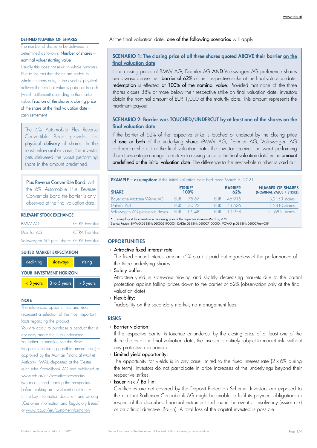#### DEFINED NUMBER OF SHARES

The number of shares to be delivered is determined as follows: Number of shares = nominal value/starting value

Usually this does not result in whole numbers. Due to the fact that shares are traded in whole numbers only, in the event of physical delivery the residual value is paid out in cash (=cash settlement) according to the market value: Fraction of the shares x closing price of the share at the final valuation date = cash settlement

The 6% Automobile Plus Reverse Convertible Bond provides for physical delivery of shares. In the most unfavourable case, the investor gets delivered the worst performing share in the amount predefined.

### Plus Reverse Convertible Bond: with

the 6% Automobile Plus Reverse Convertible Bond the barrier is only observed at the final valuation date.

#### RELEVANT STOCK EXCHANGE

| <b>BMW AG:</b>                             | <b>XFTRA Frankfurt</b> |
|--------------------------------------------|------------------------|
| Daimler AG:                                | <b>XFTRA Frankfurt</b> |
| Volkswagen AG pref. share: XETRA Frankfurt |                        |

#### SUITED MARKET EXPECTATION

| declining               | sideways     | rising      |  |  |  |
|-------------------------|--------------|-------------|--|--|--|
| YOUR INVESTMENT HORIZON |              |             |  |  |  |
| $<$ 3 years             | 3 to 5 years | $> 5$ years |  |  |  |

**NOTE** 

The referenced opportunities and risks represent a selection of the most important facts regarding the product. You are about to purchase a product that is not easy and difficult to understand. For further information see the Base Prospectus (including possible amendments) – approved by the Austrian Financial Market Authority (FMA), deposited at the Oesterreichische Kontrollbank AG and published at www.rcb.at/en/securitiesprospectus (we recommend reading the prospectus before making an investment decision) – in the key information document and among "Customer Information and Regulatory Issues" at www.rcb.at/en/customerinformation

At the final valuation date, one of the following scenarios will apply:

#### SCENARIO 1: The closing price of all three shares quoted ABOVE their barrier on the final valuation date

If the closing prices of BMW AG, Daimler AG AND Volkswagen AG preference shares are always above their **barrier of 62%** of their respective strike at the final valuation date, redemption is effected at 100% of the nominal value. Provided that none of the three shares closes 38% or more below their respective strike on final valuation date, investors obtain the nominal amount of EUR 1,000 at the maturity date. This amount represents the maximum payout.

#### SCENARIO 2: Barrier was TOUCHED/UNDERCUT by at least one of the shares on the final valuation date

If the barrier of 62% of the respective strike is touched or undercut by the closing price of one or both of the underlying shares (BMW AG, Daimler AG, Volkswagen AG preference shares) at the final valuation date, the investor receives the worst performing share (percentage change from strike to closing price at the final valuation date) in the **amount** predefined at the initial valuation date. The difference to the next whole number is paid out.

| <b>EXAMPLE - assumption:</b> if the initial valuation date had been March 5, 2021 |      |                        |       |                       |                                                     |  |
|-----------------------------------------------------------------------------------|------|------------------------|-------|-----------------------|-----------------------------------------------------|--|
| <b>SHARE</b>                                                                      |      | <b>STRIKE*</b><br>100% |       | <b>BARRIER</b><br>62% | <b>NUMBER OF SHARES</b><br>(NOMINAL VALUE / STRIKE) |  |
| Bayerische Motoren Werke AG                                                       | FUR. | 75.67                  | FI IR | 46.915                | 13,2153 shares                                      |  |
| Daimler AG                                                                        | FUR. | 70.22                  |       | FUR 43.536            | 14.2410 shares                                      |  |
| Volkswagen AG preference shares EUR 19.,48                                        |      |                        |       | EUR 119,958           | 5.1685 shares                                       |  |
|                                                                                   |      |                        |       |                       |                                                     |  |

\* … exemplary strike in relation to the closing price of the respective share on March 5, 2021. Source: Reuters: BMWG.DE (ISIN: DE0005190003), DAIGn.DE (ISIN: DE0007100000), VOWG\_p.DE (ISIN: DE0007664039)

#### **OPPORTUNITIES**

#### ▫ Attractive fixed interest rate:

The fixed annual interest amount (6% p.a.) is paid out regardless of the performance of the three underlying shares.

▫ Safety buffer:

Attractive yield in sideways moving and slightly decreasing markets due to the partial protection against falling prices down to the barrier of 62% (observation only at the final valuation date)

▫ Flexibility:

Tradability on the secondary market, no management fees

#### RISKS

#### ▫ Barrier violation:

If the respective barrier is touched or undercut by the closing price of at least one of the three shares at the final valuation date, the investor is entirely subject to market risk, without any protective mechanism.

▫ Limited yield opportunity:

The opportunity for yields is in any case limited to the fixed interest rate (2  $\times$  6% during the term). Investors do not participate in price increases of the underlyings beyond their respective strikes.

▫ Issuer risk / Bail-in:

Certificates are not covered by the Deposit Protection Scheme. Investors are exposed to the risk that Raiffeisen Centrobank AG might be unable to fulfil its payment obligations in respect of the described financial instrument such as in the event of insolvency (issuer risk) or an official directive (Bail-in). A total loss of the capital invested is possible.